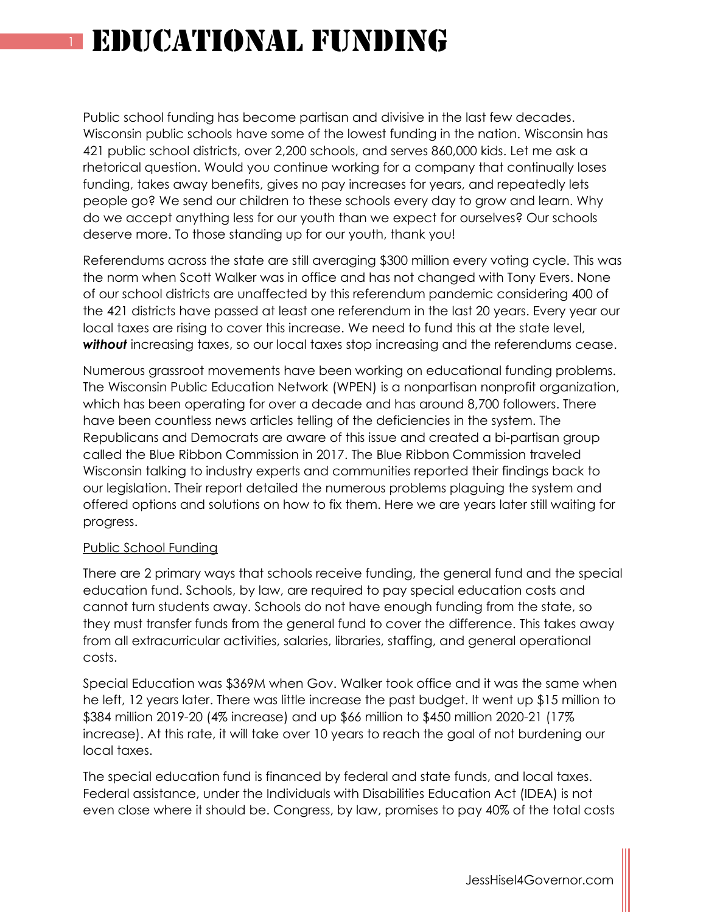# **EDUCATIONAL FUNDING**

Public school funding has become partisan and divisive in the last few decades. Wisconsin public schools have some of the lowest funding in the nation. Wisconsin has 421 public school districts, over 2,200 schools, and serves 860,000 kids. Let me ask a rhetorical question. Would you continue working for a company that continually loses funding, takes away benefits, gives no pay increases for years, and repeatedly lets people go? We send our children to these schools every day to grow and learn. Why do we accept anything less for our youth than we expect for ourselves? Our schools deserve more. To those standing up for our youth, thank you!

Referendums across the state are still averaging \$300 million every voting cycle. This was the norm when Scott Walker was in office and has not changed with Tony Evers. None of our school districts are unaffected by this referendum pandemic considering 400 of the 421 districts have passed at least one referendum in the last 20 years. Every year our local taxes are rising to cover this increase. We need to fund this at the state level, **without** increasing taxes, so our local taxes stop increasing and the referendums cease.

Numerous grassroot movements have been working on educational funding problems. The Wisconsin Public Education Network (WPEN) is a nonpartisan nonprofit organization, which has been operating for over a decade and has around 8,700 followers. There have been countless news articles telling of the deficiencies in the system. The Republicans and Democrats are aware of this issue and created a bi-partisan group called the Blue Ribbon Commission in 2017. The Blue Ribbon Commission traveled Wisconsin talking to industry experts and communities reported their findings back to our legislation. Their report detailed the numerous problems plaguing the system and offered options and solutions on how to fix them. Here we are years later still waiting for progress.

### Public School Funding

There are 2 primary ways that schools receive funding, the general fund and the special education fund. Schools, by law, are required to pay special education costs and cannot turn students away. Schools do not have enough funding from the state, so they must transfer funds from the general fund to cover the difference. This takes away from all extracurricular activities, salaries, libraries, staffing, and general operational costs.

Special Education was \$369M when Gov. Walker took office and it was the same when he left, 12 years later. There was little increase the past budget. It went up \$15 million to \$384 million 2019-20 (4% increase) and up \$66 million to \$450 million 2020-21 (17% increase). At this rate, it will take over 10 years to reach the goal of not burdening our local taxes.

The special education fund is financed by federal and state funds, and local taxes. Federal assistance, under the Individuals with Disabilities Education Act (IDEA) is not even close where it should be. Congress, by law, promises to pay 40% of the total costs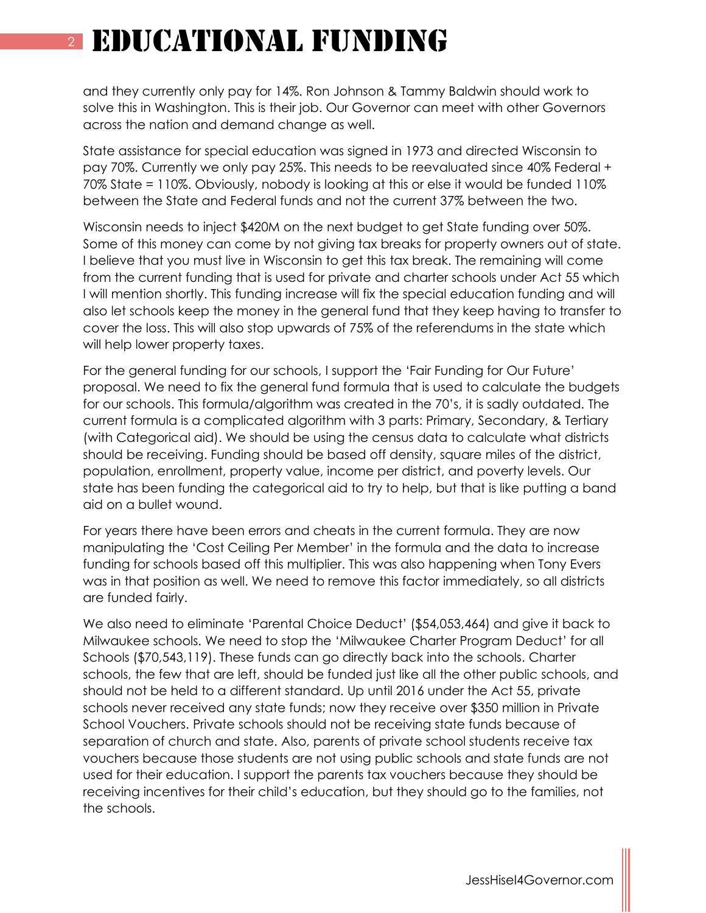### <sup>2</sup> Educational Funding

and they currently only pay for 14%. Ron Johnson & Tammy Baldwin should work to solve this in Washington. This is their job. Our Governor can meet with other Governors across the nation and demand change as well.

State assistance for special education was signed in 1973 and directed Wisconsin to pay 70%. Currently we only pay 25%. This needs to be reevaluated since 40% Federal + 70% State = 110%. Obviously, nobody is looking at this or else it would be funded 110% between the State and Federal funds and not the current 37% between the two.

Wisconsin needs to inject \$420M on the next budget to get State funding over 50%. Some of this money can come by not giving tax breaks for property owners out of state. I believe that you must live in Wisconsin to get this tax break. The remaining will come from the current funding that is used for private and charter schools under Act 55 which I will mention shortly. This funding increase will fix the special education funding and will also let schools keep the money in the general fund that they keep having to transfer to cover the loss. This will also stop upwards of 75% of the referendums in the state which will help lower property taxes.

For the general funding for our schools, I support the 'Fair Funding for Our Future' proposal. We need to fix the general fund formula that is used to calculate the budgets for our schools. This formula/algorithm was created in the 70's, it is sadly outdated. The current formula is a complicated algorithm with 3 parts: Primary, Secondary, & Tertiary (with Categorical aid). We should be using the census data to calculate what districts should be receiving. Funding should be based off density, square miles of the district, population, enrollment, property value, income per district, and poverty levels. Our state has been funding the categorical aid to try to help, but that is like putting a band aid on a bullet wound.

For years there have been errors and cheats in the current formula. They are now manipulating the 'Cost Ceiling Per Member' in the formula and the data to increase funding for schools based off this multiplier. This was also happening when Tony Evers was in that position as well. We need to remove this factor immediately, so all districts are funded fairly.

We also need to eliminate 'Parental Choice Deduct' (\$54,053,464) and give it back to Milwaukee schools. We need to stop the 'Milwaukee Charter Program Deduct' for all Schools (\$70,543,119). These funds can go directly back into the schools. Charter schools, the few that are left, should be funded just like all the other public schools, and should not be held to a different standard. Up until 2016 under the Act 55, private schools never received any state funds; now they receive over \$350 million in Private School Vouchers. Private schools should not be receiving state funds because of separation of church and state. Also, parents of private school students receive tax vouchers because those students are not using public schools and state funds are not used for their education. I support the parents tax vouchers because they should be receiving incentives for their child's education, but they should go to the families, not the schools.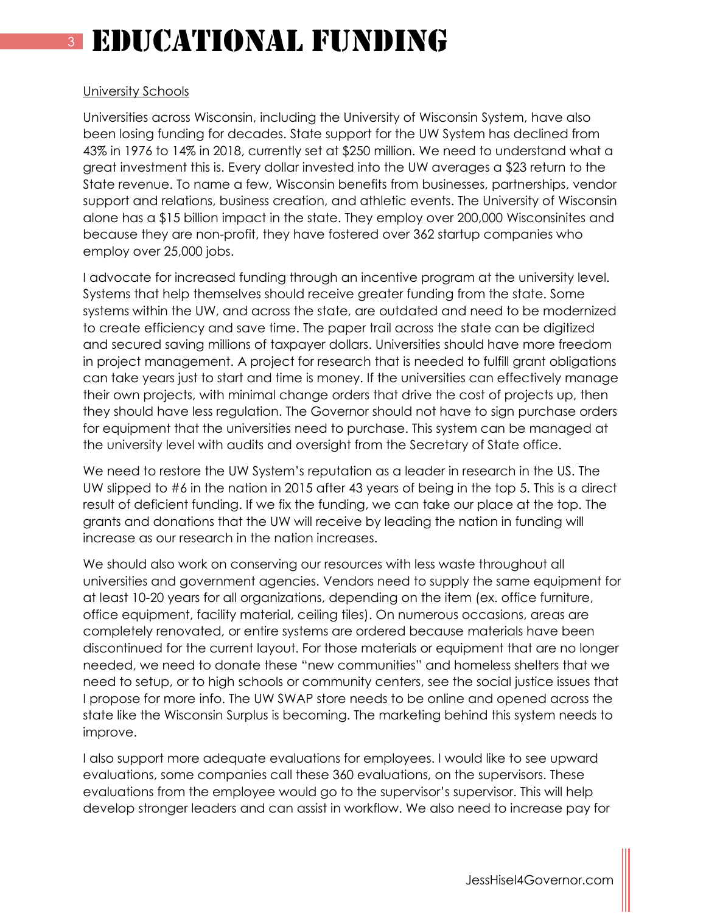### <sup>3</sup> Educational Funding

### University Schools

Universities across Wisconsin, including the University of Wisconsin System, have also been losing funding for decades. State support for the UW System has declined from 43% in 1976 to 14% in 2018, currently set at \$250 million. We need to understand what a great investment this is. Every dollar invested into the UW averages a \$23 return to the State revenue. To name a few, Wisconsin benefits from businesses, partnerships, vendor support and relations, business creation, and athletic events. The University of Wisconsin alone has a \$15 billion impact in the state. They employ over 200,000 Wisconsinites and because they are non-profit, they have fostered over 362 startup companies who employ over 25,000 jobs.

I advocate for increased funding through an incentive program at the university level. Systems that help themselves should receive greater funding from the state. Some systems within the UW, and across the state, are outdated and need to be modernized to create efficiency and save time. The paper trail across the state can be digitized and secured saving millions of taxpayer dollars. Universities should have more freedom in project management. A project for research that is needed to fulfill grant obligations can take years just to start and time is money. If the universities can effectively manage their own projects, with minimal change orders that drive the cost of projects up, then they should have less regulation. The Governor should not have to sign purchase orders for equipment that the universities need to purchase. This system can be managed at the university level with audits and oversight from the Secretary of State office.

We need to restore the UW System's reputation as a leader in research in the US. The UW slipped to #6 in the nation in 2015 after 43 years of being in the top 5. This is a direct result of deficient funding. If we fix the funding, we can take our place at the top. The grants and donations that the UW will receive by leading the nation in funding will increase as our research in the nation increases.

We should also work on conserving our resources with less waste throughout all universities and government agencies. Vendors need to supply the same equipment for at least 10-20 years for all organizations, depending on the item (ex. office furniture, office equipment, facility material, ceiling tiles). On numerous occasions, areas are completely renovated, or entire systems are ordered because materials have been discontinued for the current layout. For those materials or equipment that are no longer needed, we need to donate these "new communities" and homeless shelters that we need to setup, or to high schools or community centers, see the social justice issues that I propose for more info. The UW SWAP store needs to be online and opened across the state like the Wisconsin Surplus is becoming. The marketing behind this system needs to improve.

I also support more adequate evaluations for employees. I would like to see upward evaluations, some companies call these 360 evaluations, on the supervisors. These evaluations from the employee would go to the supervisor's supervisor. This will help develop stronger leaders and can assist in workflow. We also need to increase pay for